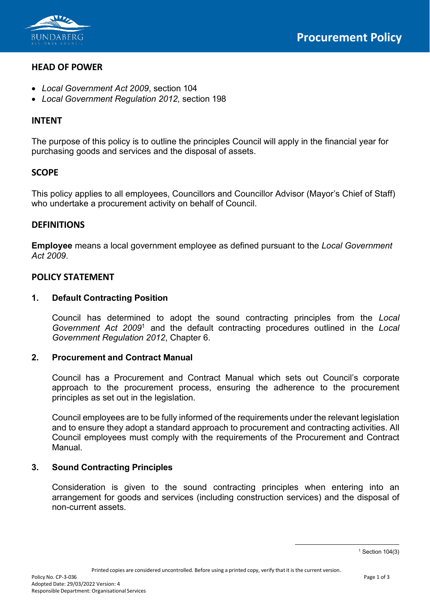

## **HEAD OF POWER**

- *Local Government Act 2009*, section 104
- *Local Government Regulation 2012,* section 198

# **INTENT**

The purpose of this policy is to outline the principles Council will apply in the financial year for purchasing goods and services and the disposal of assets.

# **SCOPE**

This policy applies to all employees, Councillors and Councillor Advisor (Mayor's Chief of Staff) who undertake a procurement activity on behalf of Council.

## **DEFINITIONS**

**Employee** means a local government employee as defined pursuant to the *Local Government Act 2009*.

## **POLICY STATEMENT**

## **1. Default Contracting Position**

Council has determined to adopt the sound contracting principles from the *Local Government Act 2009*[1](#page-0-0) and the default contracting procedures outlined in the *Local Government Regulation 2012*, Chapter 6.

## **2. Procurement and Contract Manual**

Council has a Procurement and Contract Manual which sets out Council's corporate approach to the procurement process, ensuring the adherence to the procurement principles as set out in the legislation.

Council employees are to be fully informed of the requirements under the relevant legislation and to ensure they adopt a standard approach to procurement and contracting activities. All Council employees must comply with the requirements of the Procurement and Contract Manual.

## **3. Sound Contracting Principles**

<span id="page-0-0"></span>Consideration is given to the sound contracting principles when entering into an arrangement for goods and services (including construction services) and the disposal of non-current assets.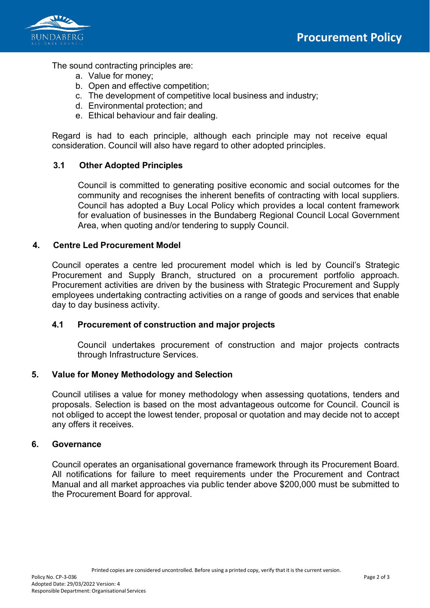

The sound contracting principles are:

- a. Value for money;
- b. Open and effective competition;
- c. The development of competitive local business and industry;
- d. Environmental protection; and
- e. Ethical behaviour and fair dealing.

Regard is had to each principle, although each principle may not receive equal consideration. Council will also have regard to other adopted principles.

### **3.1 Other Adopted Principles**

Council is committed to generating positive economic and social outcomes for the community and recognises the inherent benefits of contracting with local suppliers. Council has adopted a Buy Local Policy which provides a local content framework for evaluation of businesses in the Bundaberg Regional Council Local Government Area, when quoting and/or tendering to supply Council.

### **4. Centre Led Procurement Model**

Council operates a centre led procurement model which is led by Council's Strategic Procurement and Supply Branch, structured on a procurement portfolio approach. Procurement activities are driven by the business with Strategic Procurement and Supply employees undertaking contracting activities on a range of goods and services that enable day to day business activity.

#### **4.1 Procurement of construction and major projects**

Council undertakes procurement of construction and major projects contracts through Infrastructure Services.

#### **5. Value for Money Methodology and Selection**

Council utilises a value for money methodology when assessing quotations, tenders and proposals. Selection is based on the most advantageous outcome for Council. Council is not obliged to accept the lowest tender, proposal or quotation and may decide not to accept any offers it receives.

#### **6. Governance**

Council operates an organisational governance framework through its Procurement Board. All notifications for failure to meet requirements under the Procurement and Contract Manual and all market approaches via public tender above \$200,000 must be submitted to the Procurement Board for approval.